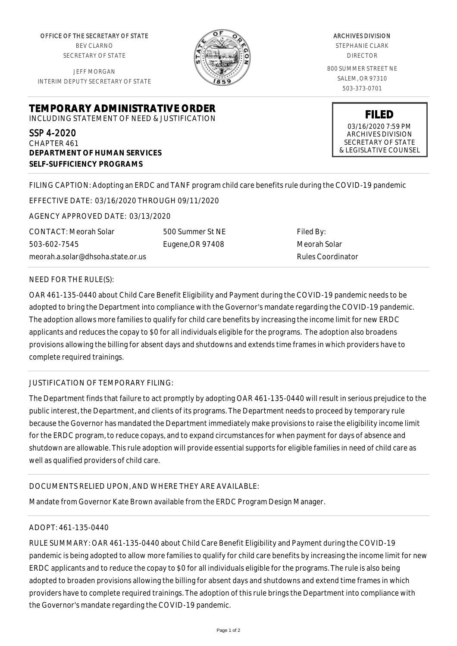OFFICE OF THE SECRETARY OF STATE BEV CLARNO SECRETARY OF STATE

JEFF MORGAN INTERIM DEPUTY SECRETARY OF STATE



ARCHIVES DIVISION STEPHANIE CLARK DIRECTOR 800 SUMMER STREET NE SALEM, OR 97310 503-373-0701

**TEMPORARY ADMINISTRATIVE ORDER**

INCLUDING STATEMENT OF NEED & JUSTIFICATION

SSP 4-2020 CHAPTER 461 **DEPARTMENT OF HUMAN SERVICES SELF-SUFFICIENCY PROGRAMS**

**FILED** 03/16/2020 7:59 PM ARCHIVES DIVISION SECRETARY OF STATE

& LEGISLATIVE COUNSEL

FILING CAPTION: Adopting an ERDC and TANF program child care benefits rule during the COVID-19 pandemic

EFFECTIVE DATE: 03/16/2020 THROUGH 09/11/2020

AGENCY APPROVED DATE: 03/13/2020

CONTACT: Meorah Solar 503-602-7545 meorah.a.solar@dhsoha.state.or.us 500 Summer St NE Eugene,OR 97408

Filed By: Meorah Solar Rules Coordinator

## NEED FOR THE RULE(S):

OAR 461-135-0440 about Child Care Benefit Eligibility and Payment during the COVID-19 pandemic needs to be adopted to bring the Department into compliance with the Governor's mandate regarding the COVID-19 pandemic. The adoption allows more families to qualify for child care benefits by increasing the income limit for new ERDC applicants and reduces the copay to \$0 for all individuals eligible for the programs. The adoption also broadens provisions allowing the billing for absent days and shutdowns and extends time frames in which providers have to complete required trainings.

## JUSTIFICATION OF TEMPORARY FILING:

The Department finds that failure to act promptly by adopting OAR 461-135-0440 will result in serious prejudice to the public interest, the Department, and clients of its programs. The Department needs to proceed by temporary rule because the Governor has mandated the Department immediately make provisions to raise the eligibility income limit for the ERDC program, to reduce copays, and to expand circumstances for when payment for days of absence and shutdown are allowable. This rule adoption will provide essential supports for eligible families in need of child care as well as qualified providers of child care.

## DOCUMENTS RELIED UPON, AND WHERE THEY ARE AVAILABLE:

Mandate from Governor Kate Brown available from the ERDC Program Design Manager.

## ADOPT: 461-135-0440

RULE SUMMARY: OAR 461-135-0440 about Child Care Benefit Eligibility and Payment during the COVID-19 pandemic is being adopted to allow more families to qualify for child care benefits by increasing the income limit for new ERDC applicants and to reduce the copay to \$0 for all individuals eligible for the programs. The rule is also being adopted to broaden provisions allowing the billing for absent days and shutdowns and extend time frames in which providers have to complete required trainings. The adoption of this rule brings the Department into compliance with the Governor's mandate regarding the COVID-19 pandemic.